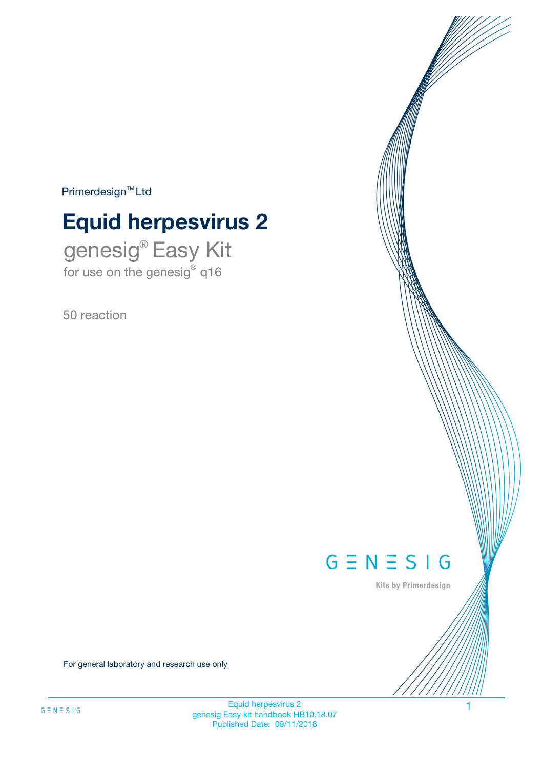$Primerdesign^{\text{TM}}Ltd$ 

# **Equid herpesvirus 2**

genesig® Easy Kit for use on the genesig® q16

50 reaction



Kits by Primerdesign

For general laboratory and research use only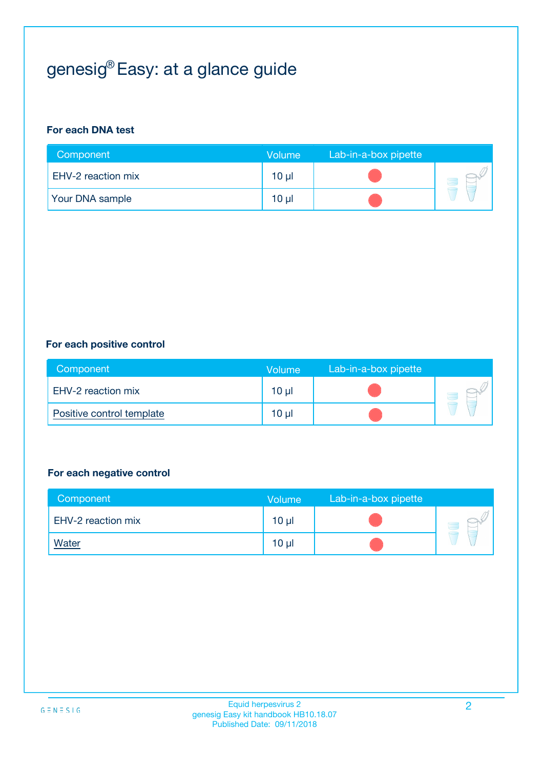## genesig® Easy: at a glance guide

#### **For each DNA test**

| Component              | <b>Volume</b>   | Lab-in-a-box pipette |  |
|------------------------|-----------------|----------------------|--|
| EHV-2 reaction mix     | 10 µl           |                      |  |
| <b>Your DNA sample</b> | 10 <sub>µ</sub> |                      |  |

#### **For each positive control**

| Component                 | Volume          | Lab-in-a-box pipette |  |
|---------------------------|-----------------|----------------------|--|
| EHV-2 reaction mix        | 10 <sub>µ</sub> |                      |  |
| Positive control template | 10 <sub>µ</sub> |                      |  |

#### **For each negative control**

| Component          | <b>Volume</b>   | Lab-in-a-box pipette |  |
|--------------------|-----------------|----------------------|--|
| EHV-2 reaction mix | 10 <sub>µ</sub> |                      |  |
| <u>Water</u>       | 10 <sub>µ</sub> |                      |  |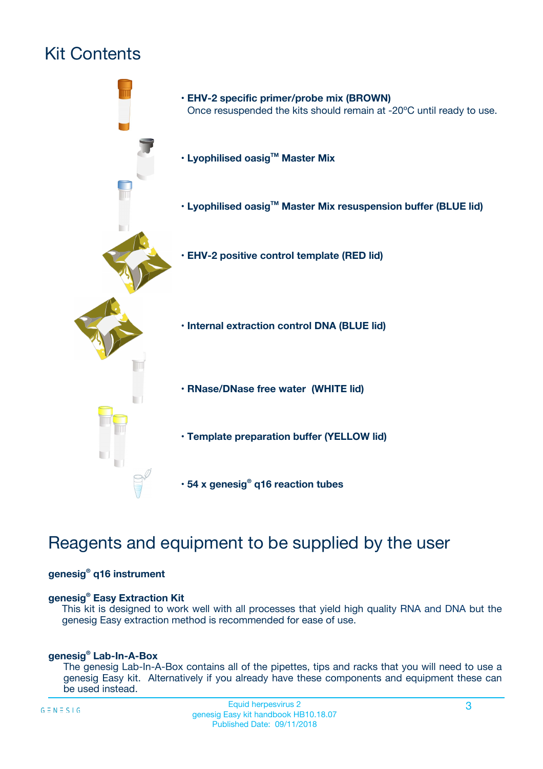## Kit Contents



### Reagents and equipment to be supplied by the user

#### **genesig® q16 instrument**

#### **genesig® Easy Extraction Kit**

This kit is designed to work well with all processes that yield high quality RNA and DNA but the genesig Easy extraction method is recommended for ease of use.

#### **genesig® Lab-In-A-Box**

The genesig Lab-In-A-Box contains all of the pipettes, tips and racks that you will need to use a genesig Easy kit. Alternatively if you already have these components and equipment these can be used instead.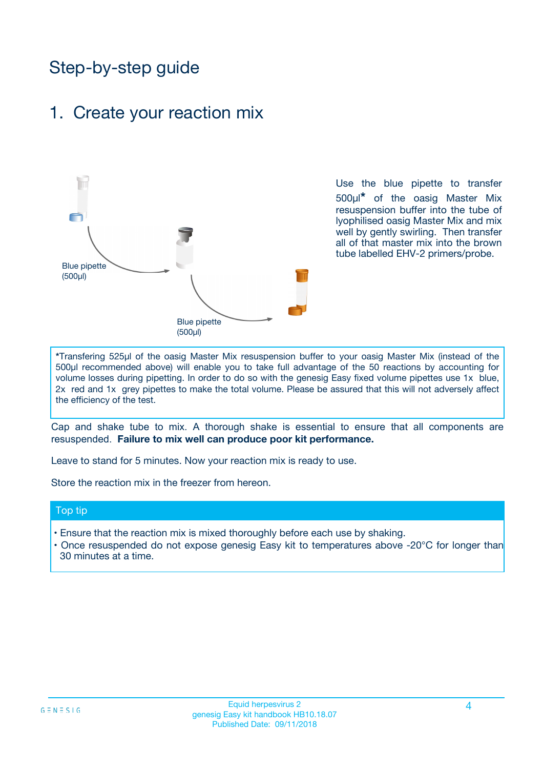### Step-by-step guide

### 1. Create your reaction mix



Use the blue pipette to transfer 500µl**\*** of the oasig Master Mix resuspension buffer into the tube of lyophilised oasig Master Mix and mix well by gently swirling. Then transfer all of that master mix into the brown tube labelled EHV-2 primers/probe.

**\***Transfering 525µl of the oasig Master Mix resuspension buffer to your oasig Master Mix (instead of the 500µl recommended above) will enable you to take full advantage of the 50 reactions by accounting for volume losses during pipetting. In order to do so with the genesig Easy fixed volume pipettes use 1x blue, 2x red and 1x grey pipettes to make the total volume. Please be assured that this will not adversely affect the efficiency of the test.

Cap and shake tube to mix. A thorough shake is essential to ensure that all components are resuspended. **Failure to mix well can produce poor kit performance.**

Leave to stand for 5 minutes. Now your reaction mix is ready to use.

Store the reaction mix in the freezer from hereon.

#### Top tip

- Ensure that the reaction mix is mixed thoroughly before each use by shaking.
- **•** Once resuspended do not expose genesig Easy kit to temperatures above -20°C for longer than 30 minutes at a time.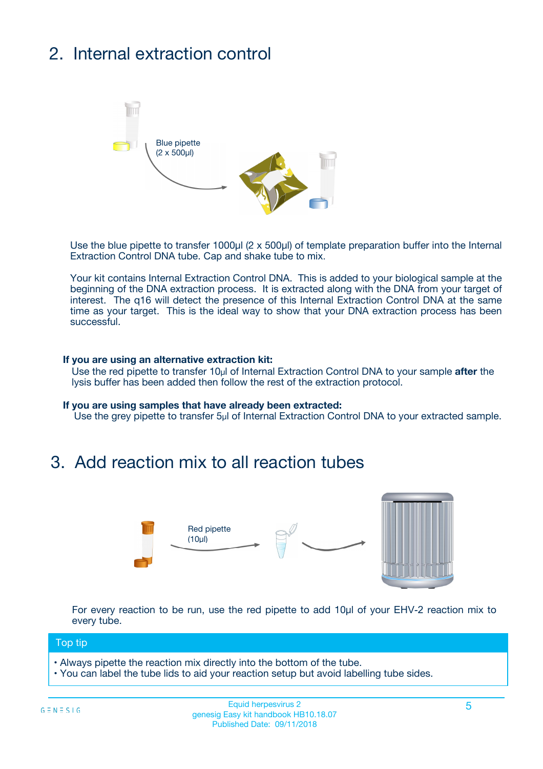## 2. Internal extraction control



Use the blue pipette to transfer 1000µl (2 x 500µl) of template preparation buffer into the Internal Extraction Control DNA tube. Cap and shake tube to mix.

Your kit contains Internal Extraction Control DNA. This is added to your biological sample at the beginning of the DNA extraction process. It is extracted along with the DNA from your target of interest. The q16 will detect the presence of this Internal Extraction Control DNA at the same time as your target. This is the ideal way to show that your DNA extraction process has been **successful.** 

#### **If you are using an alternative extraction kit:**

Use the red pipette to transfer 10µl of Internal Extraction Control DNA to your sample **after** the lysis buffer has been added then follow the rest of the extraction protocol.

#### **If you are using samples that have already been extracted:**

Use the grey pipette to transfer 5µl of Internal Extraction Control DNA to your extracted sample.

### 3. Add reaction mix to all reaction tubes



For every reaction to be run, use the red pipette to add 10µl of your EHV-2 reaction mix to every tube.

#### Top tip

- Always pipette the reaction mix directly into the bottom of the tube.
- You can label the tube lids to aid your reaction setup but avoid labelling tube sides.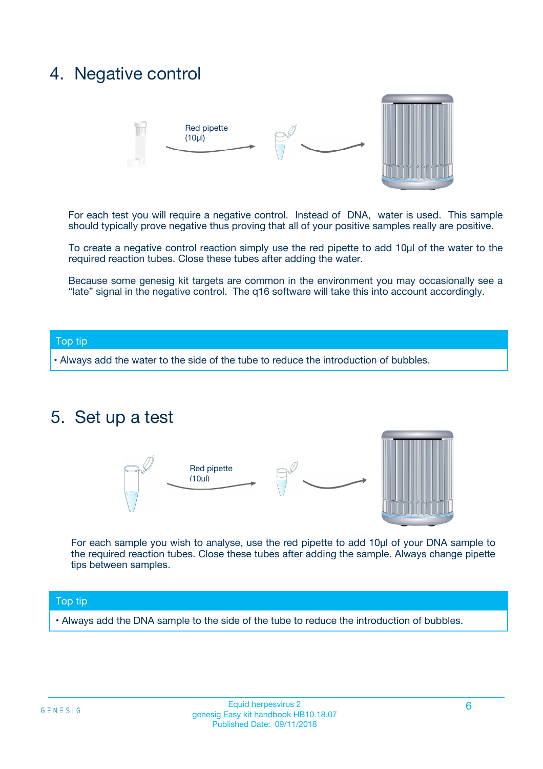### 4. Negative control



For each test you will require a negative control. Instead of DNA, water is used. This sample should typically prove negative thus proving that all of your positive samples really are positive.

To create a negative control reaction simply use the red pipette to add 10µl of the water to the required reaction tubes. Close these tubes after adding the water.

Because some genesig kit targets are common in the environment you may occasionally see a "late" signal in the negative control. The q16 software will take this into account accordingly.

#### Top tip

**•** Always add the water to the side of the tube to reduce the introduction of bubbles.

### 5. Set up a test



For each sample you wish to analyse, use the red pipette to add 10µl of your DNA sample to the required reaction tubes. Close these tubes after adding the sample. Always change pipette tips between samples.

#### Top tip

**•** Always add the DNA sample to the side of the tube to reduce the introduction of bubbles.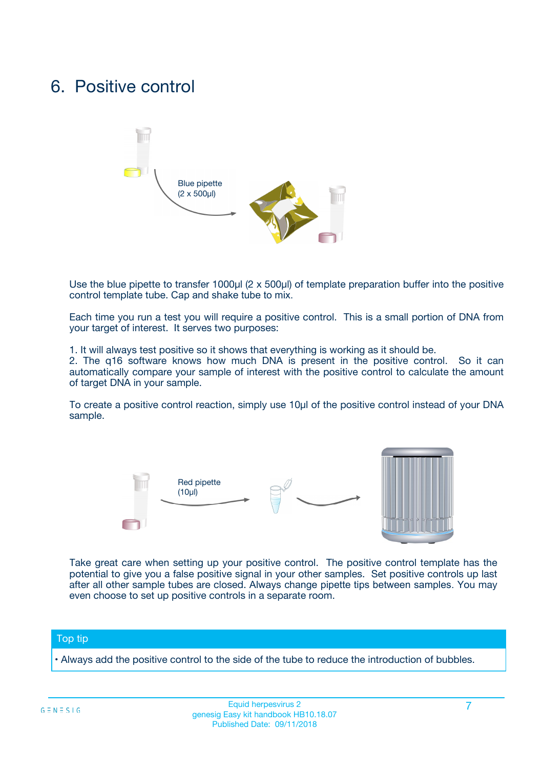### 6. Positive control



Use the blue pipette to transfer 1000µl (2 x 500µl) of template preparation buffer into the positive control template tube. Cap and shake tube to mix.

Each time you run a test you will require a positive control. This is a small portion of DNA from your target of interest. It serves two purposes:

1. It will always test positive so it shows that everything is working as it should be.

2. The q16 software knows how much DNA is present in the positive control. So it can automatically compare your sample of interest with the positive control to calculate the amount of target DNA in your sample.

To create a positive control reaction, simply use 10µl of the positive control instead of your DNA sample.



Take great care when setting up your positive control. The positive control template has the potential to give you a false positive signal in your other samples. Set positive controls up last after all other sample tubes are closed. Always change pipette tips between samples. You may even choose to set up positive controls in a separate room.

#### Top tip

**•** Always add the positive control to the side of the tube to reduce the introduction of bubbles.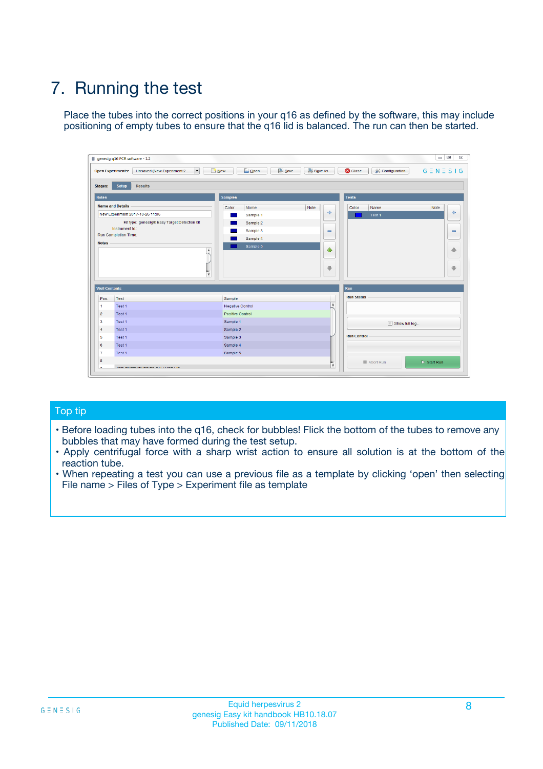## 7. Running the test

Place the tubes into the correct positions in your q16 as defined by the software, this may include positioning of empty tubes to ensure that the q16 lid is balanced. The run can then be started.

| qenesig q16 PCR software - 1.2                                               |                                   | $\Box$                                                                                          |
|------------------------------------------------------------------------------|-----------------------------------|-------------------------------------------------------------------------------------------------|
| $\vert \cdot \vert$<br>Unsaved (New Experiment 2<br><b>Open Experiments:</b> | <b>D</b> Open<br>R <sub>New</sub> | Save<br>Save As<br><b>C</b> Close<br><b>&amp; Configuration</b><br>$G \equiv N \equiv S \mid G$ |
| <b>Setup</b><br><b>Results</b><br>Stages:                                    |                                   |                                                                                                 |
| <b>Notes</b>                                                                 | <b>Samples</b>                    | <b>Tests</b>                                                                                    |
| <b>Name and Details</b>                                                      | Name<br>Color                     | Note<br>Color<br>Note<br>Name                                                                   |
| New Experiment 2017-10-26 11:06                                              | Sample 1                          | ÷<br>علي<br>Test 1                                                                              |
| Kit type: genesig® Easy Target Detection kit                                 | Sample 2                          |                                                                                                 |
| Instrument Id.:                                                              | Sample 3                          | $\qquad \qquad \blacksquare$<br>$\qquad \qquad \blacksquare$                                    |
| <b>Run Completion Time:</b>                                                  | Sample 4                          |                                                                                                 |
| <b>Notes</b><br><b>A</b><br>$\overline{\mathbf v}$                           | Sample 5                          | ♦<br>4<br>÷<br>₩                                                                                |
| <b>Well Contents</b>                                                         |                                   | <b>Run</b>                                                                                      |
| Pos.<br>Test                                                                 | Sample                            | <b>Run Status</b>                                                                               |
| Test 1<br>$\mathbf{1}$                                                       | Negative Control                  | $\blacktriangle$                                                                                |
| $\overline{2}$<br>Test 1                                                     | <b>Positive Control</b>           |                                                                                                 |
| $\overline{\mathbf{3}}$<br>Test 1                                            | Sample 1                          | Show full log                                                                                   |
| Test 1<br>4                                                                  | Sample 2                          |                                                                                                 |
| 5<br>Test 1                                                                  | Sample 3                          | <b>Run Control</b>                                                                              |
| Test 1<br>6                                                                  | Sample 4                          |                                                                                                 |
| $\overline{7}$<br>Test 1                                                     | Sample 5                          |                                                                                                 |
| 8                                                                            |                                   | $\triangleright$ Start Run<br>Abort Run                                                         |
| <b>JOD FURTY TUDE TO BUILDED IN</b>                                          |                                   | $\overline{\mathbf{v}}$                                                                         |

#### Top tip

- Before loading tubes into the q16, check for bubbles! Flick the bottom of the tubes to remove any bubbles that may have formed during the test setup.
- Apply centrifugal force with a sharp wrist action to ensure all solution is at the bottom of the reaction tube.
- When repeating a test you can use a previous file as a template by clicking 'open' then selecting File name > Files of Type > Experiment file as template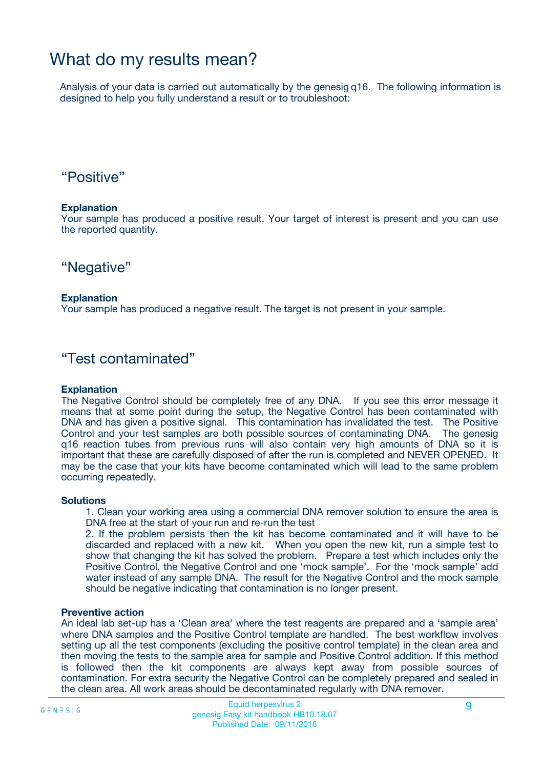### What do my results mean?

Analysis of your data is carried out automatically by the genesig q16. The following information is designed to help you fully understand a result or to troubleshoot:

### "Positive"

#### **Explanation**

Your sample has produced a positive result. Your target of interest is present and you can use the reported quantity.

"Negative"

#### **Explanation**

Your sample has produced a negative result. The target is not present in your sample.

### "Test contaminated"

#### **Explanation**

The Negative Control should be completely free of any DNA. If you see this error message it means that at some point during the setup, the Negative Control has been contaminated with DNA and has given a positive signal. This contamination has invalidated the test. The Positive Control and your test samples are both possible sources of contaminating DNA. The genesig q16 reaction tubes from previous runs will also contain very high amounts of DNA so it is important that these are carefully disposed of after the run is completed and NEVER OPENED. It may be the case that your kits have become contaminated which will lead to the same problem occurring repeatedly.

#### **Solutions**

1. Clean your working area using a commercial DNA remover solution to ensure the area is DNA free at the start of your run and re-run the test

2. If the problem persists then the kit has become contaminated and it will have to be discarded and replaced with a new kit. When you open the new kit, run a simple test to show that changing the kit has solved the problem. Prepare a test which includes only the Positive Control, the Negative Control and one 'mock sample'. For the 'mock sample' add water instead of any sample DNA. The result for the Negative Control and the mock sample should be negative indicating that contamination is no longer present.

#### **Preventive action**

An ideal lab set-up has a 'Clean area' where the test reagents are prepared and a 'sample area' where DNA samples and the Positive Control template are handled. The best workflow involves setting up all the test components (excluding the positive control template) in the clean area and then moving the tests to the sample area for sample and Positive Control addition. If this method is followed then the kit components are always kept away from possible sources of contamination. For extra security the Negative Control can be completely prepared and sealed in the clean area. All work areas should be decontaminated regularly with DNA remover.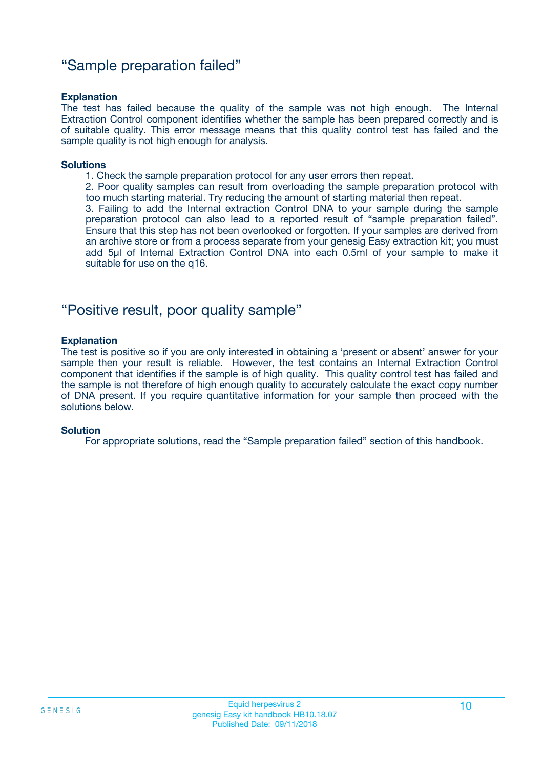### "Sample preparation failed"

#### **Explanation**

The test has failed because the quality of the sample was not high enough. The Internal Extraction Control component identifies whether the sample has been prepared correctly and is of suitable quality. This error message means that this quality control test has failed and the sample quality is not high enough for analysis.

#### **Solutions**

1. Check the sample preparation protocol for any user errors then repeat.

2. Poor quality samples can result from overloading the sample preparation protocol with too much starting material. Try reducing the amount of starting material then repeat.

3. Failing to add the Internal extraction Control DNA to your sample during the sample preparation protocol can also lead to a reported result of "sample preparation failed". Ensure that this step has not been overlooked or forgotten. If your samples are derived from an archive store or from a process separate from your genesig Easy extraction kit; you must add 5µl of Internal Extraction Control DNA into each 0.5ml of your sample to make it suitable for use on the q16.

### "Positive result, poor quality sample"

#### **Explanation**

The test is positive so if you are only interested in obtaining a 'present or absent' answer for your sample then your result is reliable. However, the test contains an Internal Extraction Control component that identifies if the sample is of high quality. This quality control test has failed and the sample is not therefore of high enough quality to accurately calculate the exact copy number of DNA present. If you require quantitative information for your sample then proceed with the solutions below.

#### **Solution**

For appropriate solutions, read the "Sample preparation failed" section of this handbook.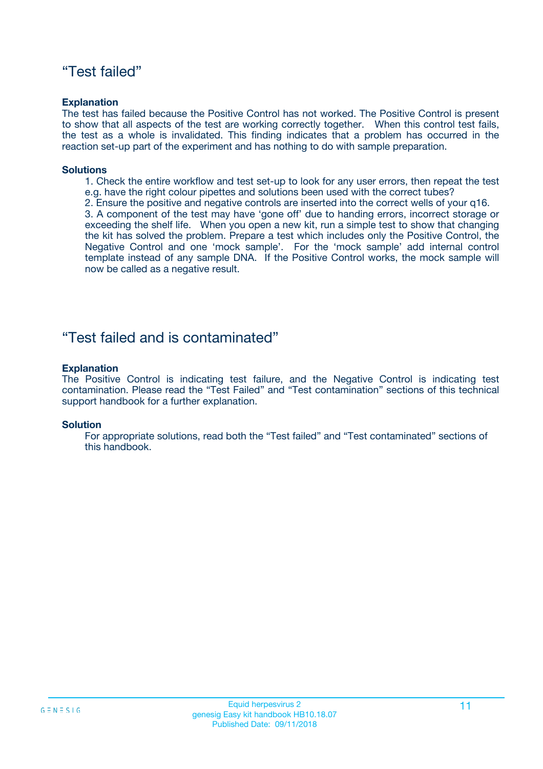### "Test failed"

#### **Explanation**

The test has failed because the Positive Control has not worked. The Positive Control is present to show that all aspects of the test are working correctly together. When this control test fails, the test as a whole is invalidated. This finding indicates that a problem has occurred in the reaction set-up part of the experiment and has nothing to do with sample preparation.

#### **Solutions**

- 1. Check the entire workflow and test set-up to look for any user errors, then repeat the test e.g. have the right colour pipettes and solutions been used with the correct tubes?
- 2. Ensure the positive and negative controls are inserted into the correct wells of your q16.

3. A component of the test may have 'gone off' due to handing errors, incorrect storage or exceeding the shelf life. When you open a new kit, run a simple test to show that changing the kit has solved the problem. Prepare a test which includes only the Positive Control, the Negative Control and one 'mock sample'. For the 'mock sample' add internal control template instead of any sample DNA. If the Positive Control works, the mock sample will now be called as a negative result.

### "Test failed and is contaminated"

#### **Explanation**

The Positive Control is indicating test failure, and the Negative Control is indicating test contamination. Please read the "Test Failed" and "Test contamination" sections of this technical support handbook for a further explanation.

#### **Solution**

For appropriate solutions, read both the "Test failed" and "Test contaminated" sections of this handbook.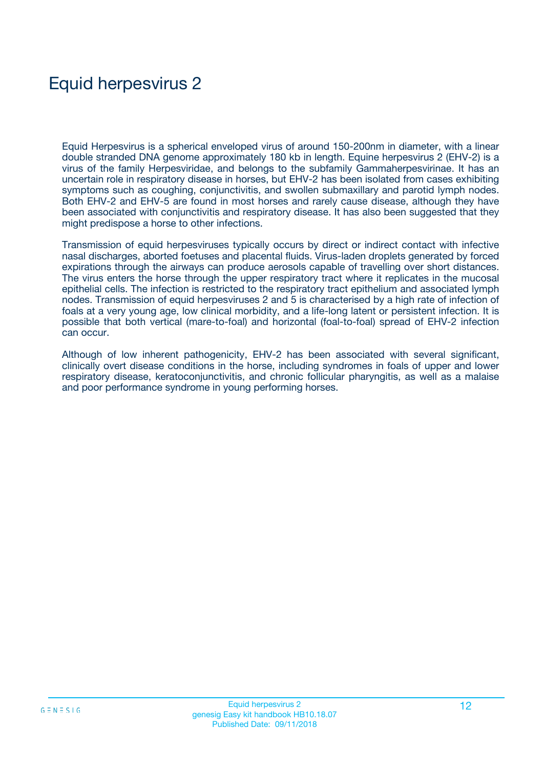## Equid herpesvirus 2

Equid Herpesvirus is a spherical enveloped virus of around 150-200nm in diameter, with a linear double stranded DNA genome approximately 180 kb in length. Equine herpesvirus 2 (EHV-2) is a virus of the family Herpesviridae, and belongs to the subfamily Gammaherpesvirinae. It has an uncertain role in respiratory disease in horses, but EHV-2 has been isolated from cases exhibiting symptoms such as coughing, conjunctivitis, and swollen submaxillary and parotid lymph nodes. Both EHV-2 and EHV-5 are found in most horses and rarely cause disease, although they have been associated with conjunctivitis and respiratory disease. It has also been suggested that they might predispose a horse to other infections.

Transmission of equid herpesviruses typically occurs by direct or indirect contact with infective nasal discharges, aborted foetuses and placental fluids. Virus-laden droplets generated by forced expirations through the airways can produce aerosols capable of travelling over short distances. The virus enters the horse through the upper respiratory tract where it replicates in the mucosal epithelial cells. The infection is restricted to the respiratory tract epithelium and associated lymph nodes. Transmission of equid herpesviruses 2 and 5 is characterised by a high rate of infection of foals at a very young age, low clinical morbidity, and a life-long latent or persistent infection. It is possible that both vertical (mare-to-foal) and horizontal (foal-to-foal) spread of EHV-2 infection can occur.

Although of low inherent pathogenicity, EHV-2 has been associated with several significant, clinically overt disease conditions in the horse, including syndromes in foals of upper and lower respiratory disease, keratoconjunctivitis, and chronic follicular pharyngitis, as well as a malaise and poor performance syndrome in young performing horses.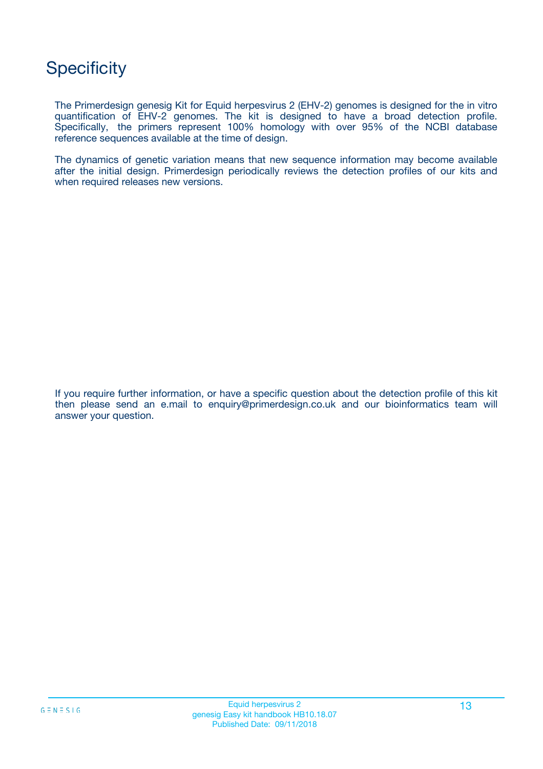### **Specificity**

The Primerdesign genesig Kit for Equid herpesvirus 2 (EHV-2) genomes is designed for the in vitro quantification of EHV-2 genomes. The kit is designed to have a broad detection profile. Specifically, the primers represent 100% homology with over 95% of the NCBI database reference sequences available at the time of design.

The dynamics of genetic variation means that new sequence information may become available after the initial design. Primerdesign periodically reviews the detection profiles of our kits and when required releases new versions.

If you require further information, or have a specific question about the detection profile of this kit then please send an e.mail to enquiry@primerdesign.co.uk and our bioinformatics team will answer your question.